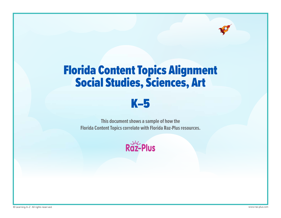# Florida Content Topics Alignment Social Studies, Sciences, Art



**This document shows a sample of how the Florida Content Topics correlate with Florida Raz-Plus resources.**

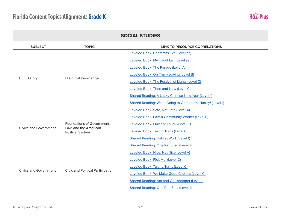

| <b>SOCIAL STUDIES</b>        |                                                  |                                                             |
|------------------------------|--------------------------------------------------|-------------------------------------------------------------|
| <b>SUBJECT</b>               | <b>TOPIC</b>                                     | <b>LINK TO RESOURCE CORRELATIONS</b>                        |
|                              |                                                  | Leveled Book: Christmas Eve (Level aa)                      |
|                              |                                                  | Leveled Book: My Hanukkah (Level aa)                        |
|                              |                                                  | Leveled Book: The Parade (Level A)                          |
|                              |                                                  | Leveled Book: On Thanksgiving (Level B)                     |
| U.S. History                 | <b>Historical Knowledge</b>                      | Leveled Book: The Festival of Lights (Level C)              |
|                              |                                                  | Leveled Book: Then and Now (Level C)                        |
|                              |                                                  | Shared Reading: A Lucky Chinese New Year (Level 1)          |
|                              |                                                  | Shared Reading: We're Going to Grandma's! Hurray! (Level 1) |
|                              |                                                  | Leveled Book: Safe, Not Safe (Level A)                      |
|                              |                                                  | Leveled Book: I Am a Community Worker (Level B)             |
|                              | Foundations of Government,                       | Leveled Book: Quiet or Loud? (Level C)                      |
| <b>Civics and Government</b> | Law, and the American<br><b>Political System</b> | Leveled Book: Taking Turns (Level C)                        |
|                              |                                                  | Shared Reading: Hats at Work (Level 1)                      |
|                              |                                                  | <b>Shared Reading: One Red Sled (Level 1)</b>               |
|                              |                                                  | Leveled Book: Nice, Not Nice (Level A)                      |
|                              |                                                  | Leveled Book: Pick Me! (Level C)                            |
|                              |                                                  | Leveled Book: Taking Turns (Level C)                        |
| <b>Civics and Government</b> | <b>Civic and Political Participation</b>         | Leveled Book: We Make Good Choices (Level C)                |
|                              |                                                  | <b>Shared Reading: Ant and Grasshopper (Level 1)</b>        |
|                              |                                                  | <b>Shared Reading: One Red Sled (Level 1)</b>               |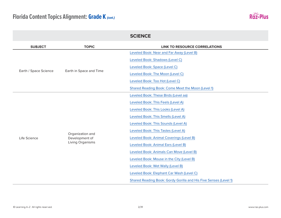

|                       |                                    | <b>SCIENCE</b>                                                   |
|-----------------------|------------------------------------|------------------------------------------------------------------|
| <b>SUBJECT</b>        | <b>TOPIC</b>                       | <b>LINK TO RESOURCE CORRELATIONS</b>                             |
|                       |                                    | Leveled Book: Near and Far Away (Level B)                        |
|                       |                                    | Leveled Book: Shadows (Level C)                                  |
|                       |                                    | Leveled Book: Space (Level C)                                    |
| Earth / Space Science | Earth in Space and Time            | Leveled Book: The Moon (Level C)                                 |
|                       |                                    | Leveled Book: Too Hot (Level C)                                  |
|                       |                                    | Shared Reading Book: Come Meet the Moon (Level 1)                |
|                       |                                    | Leveled Book: These Birds (Level aa)                             |
|                       |                                    | Leveled Book: This Feels (Level A)                               |
|                       |                                    | Leveled Book: This Looks (Level A)                               |
|                       |                                    | Leveled Book: This Smells (Level A)                              |
|                       |                                    | Leveled Book: This Sounds (Level A)                              |
|                       |                                    | Leveled Book: This Tastes (Level A)                              |
| Life Science          | Organization and<br>Development of | Leveled Book: Animal Coverings (Level B)                         |
|                       | Living Organisms                   | Leveled Book: Animal Ears (Level B)                              |
|                       |                                    | Leveled Book: Animals Can Move (Level B)                         |
|                       |                                    | Leveled Book: Mouse in the City (Level B)                        |
|                       |                                    | Leveled Book: Wet Wally (Level B)                                |
|                       |                                    | Leveled Book: Elephant Car Wash (Level C)                        |
|                       |                                    | Shared Reading Book: Gordy Gorilla and His Five Senses (Level 1) |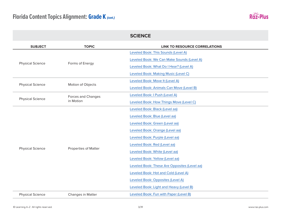

| <b>SUBJECT</b>          | <b>TOPIC</b>                | <b>LINK TO RESOURCE CORRELATIONS</b>         |
|-------------------------|-----------------------------|----------------------------------------------|
|                         | Forms of Energy             | Leveled Book: This Sounds (Level A)          |
|                         |                             | Leveled Book: We Can Make Sounds (Level A)   |
| <b>Physical Science</b> |                             | Leveled Book: What Do I Hear? (Level A)      |
|                         |                             | Leveled Book: Making Music (Level C)         |
|                         |                             | Leveled Book: Move It (Level A)              |
| <b>Physical Science</b> | Motion of Objects           | Leveled Book: Animals Can Move (Level B)     |
|                         | Forces and Changes          | Leveled Book: I Push (Level A)               |
| <b>Physical Science</b> | in Motion                   | Leveled Book: How Things Move (Level C)      |
|                         |                             | Leveled Book: Black (Level aa)               |
|                         |                             | Leveled Book: Blue (Level aa)                |
|                         |                             | Leveled Book: Green (Level aa)               |
|                         |                             | Leveled Book: Orange (Level aa)              |
|                         | <b>Properties of Matter</b> | Leveled Book: Purple (Level aa)              |
|                         |                             | Leveled Book: Red (Level aa)                 |
| <b>Physical Science</b> |                             | Leveled Book: White (Level aa)               |
|                         |                             | Leveled Book: Yellow (Level aa)              |
|                         |                             | Leveled Book: These Are Opposites (Level aa) |
|                         |                             | Leveled Book: Hot and Cold (Level A)         |
|                         |                             | Leveled Book: Opposites (Level A)            |
|                         |                             | Leveled Book: Light and Heavy (Level B)      |
| <b>Physical Science</b> | Changes in Matter           | Leveled Book: Fun with Paper (Level B)       |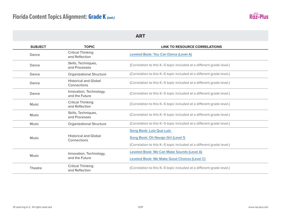

| <b>SUBJECT</b> | <b>TOPIC</b>                                | <b>LINK TO RESOURCE CORRELATIONS</b>                                 |
|----------------|---------------------------------------------|----------------------------------------------------------------------|
| Dance          | <b>Critical Thinking</b><br>and Reflection  | Leveled Book: You Can Dance (Level A)                                |
| Dance          | Skills, Techniques,<br>and Processes        | (Correlation to this K-5 topic included at a different grade level.) |
| Dance          | <b>Organizational Structure</b>             | (Correlation to this K-5 topic included at a different grade level.) |
| Dance          | <b>Historical and Global</b><br>Connections | (Correlation to this K-5 topic included at a different grade level.) |
| Dance          | Innovation, Technology,<br>and the Future   | (Correlation to this K-5 topic included at a different grade level.) |
| <b>Music</b>   | <b>Critical Thinking</b><br>and Reflection  | (Correlation to this K-5 topic included at a different grade level.) |
| <b>Music</b>   | Skills, Techniques,<br>and Processes        | (Correlation to this K-5 topic included at a different grade level.) |
| Music          | <b>Organizational Structure</b>             | (Correlation to this K-5 topic included at a different grade level.) |
|                |                                             | Song Book: Lulo Que Lulo                                             |
| <b>Music</b>   | <b>Historical and Global</b><br>Connections | Song Book: Oh Navajo Girl (Level 1)                                  |
|                |                                             | (Correlation to this K-5 topic included at a different grade level.) |
| <b>Music</b>   | Innovation, Technology,<br>and the Future   | Leveled Book: We Can Make Sounds (Level A)                           |
|                |                                             | Leveled Book: We Make Good Choices (Level C)                         |
| Theatre        | <b>Critical Thinking</b><br>and Reflection  | (Correlation to this K-5 topic included at a different grade level.) |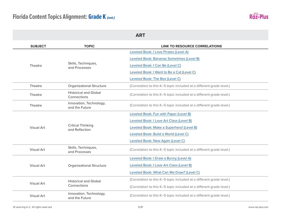

| <b>ART</b>        |                                             |                                                                      |
|-------------------|---------------------------------------------|----------------------------------------------------------------------|
| <b>SUBJECT</b>    | <b>TOPIC</b>                                | <b>LINK TO RESOURCE CORRELATIONS</b>                                 |
|                   |                                             | Leveled Book: I Love Pirates (Level A)                               |
|                   |                                             | Leveled Book: Bananas Sometimes (Level B)                            |
| Theatre           | Skills, Techniques,<br>and Processes        | Leveled Book: I Can Be (Level C)                                     |
|                   |                                             | Leveled Book: I Want to Be a Cat (Level C)                           |
|                   |                                             | Leveled Book: The Box (Level C)                                      |
| Theatre           | <b>Organizational Structure</b>             | (Correlation to this K-5 topic included at a different grade level.) |
| Theatre           | <b>Historical and Global</b><br>Connections | (Correlation to this K-5 topic included at a different grade level.) |
| Theatre           | Innovation, Technology,<br>and the Future   | (Correlation to this K-5 topic included at a different grade level.) |
|                   |                                             | Leveled Book: Fun with Paper (Level B)                               |
|                   |                                             | Leveled Book: I Love Art Class (Level B)                             |
| <b>Visual Art</b> | <b>Critical Thinking</b><br>and Reflection  | Leveled Book: Make a Superhero! (Level B)                            |
|                   |                                             | Leveled Book: Build a World (Level C)                                |
|                   |                                             | Leveled Book: New Again (Level C)                                    |
| <b>Visual Art</b> | Skills, Techniques,<br>and Processes        | (Correlation to this K-5 topic included at a different grade level.) |
|                   |                                             | Leveled Book: I Draw a Bunny (Level A)                               |
| <b>Visual Art</b> | <b>Organizational Structure</b>             | Leveled Book: I Love Art Class (Level B)                             |
|                   |                                             | Leveled Book: What Can We Draw? (Level C)                            |
|                   | <b>Historical and Global</b>                | (Correlation to this K-5 topic included at a different grade level.) |
| <b>Visual Art</b> | Connections                                 | (Correlation to this K-5 topic included at a different grade level.) |
| <b>Visual Art</b> | Innovation, Technology,<br>and the Future   | (Correlation to this K-5 topic included at a different grade level.) |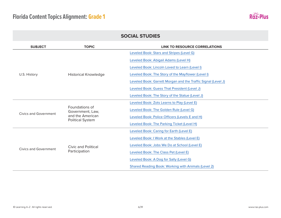

| <b>SUBJECT</b>               | <b>TOPIC</b>                                                                      | <b>LINK TO RESOURCE CORRELATIONS</b>                          |
|------------------------------|-----------------------------------------------------------------------------------|---------------------------------------------------------------|
|                              |                                                                                   | Leveled Book: Stars and Stripes (Level G)                     |
|                              |                                                                                   | Leveled Book: Abigail Adams (Level H)                         |
|                              |                                                                                   | Leveled Book: Lincoln Loved to Learn (Level I)                |
| U.S. History                 | <b>Historical Knowledge</b>                                                       | Leveled Book: The Story of the Mayflower (Level I)            |
|                              |                                                                                   | Leveled Book: Garrett Morgan and the Traffic Signal (Level J) |
|                              |                                                                                   | Leveled Book: Guess That President (Level J)                  |
|                              |                                                                                   | Leveled Book: The Story of the Statue (Level J)               |
|                              | Foundations of<br>Government, Law,<br>and the American<br><b>Political System</b> | Leveled Book: Zots Learns to Play (Level E)                   |
|                              |                                                                                   | Leveled Book: The Golden Rule (Level G)                       |
| <b>Civics and Government</b> |                                                                                   | Leveled Book: Police Officers (Levels E and H)                |
|                              |                                                                                   | Leveled Book: The Parking Ticket (Level H)                    |
|                              |                                                                                   | Leveled Book: Caring for Earth (Level E)                      |
|                              | Civic and Political<br>Participation                                              | Leveled Book: I Work at the Stables (Level E)                 |
|                              |                                                                                   | Leveled Book: Jobs We Do at School (Level E)                  |
| Civics and Government        |                                                                                   | Leveled Book: The Class Pet (Level E)                         |
|                              |                                                                                   | Leveled Book: A Dog for Sally (Level G)                       |
|                              |                                                                                   | Shared Reading Book: Working with Animals (Level 2)           |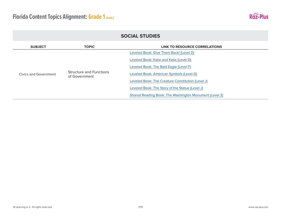

| <b>SOCIAL STUDIES</b> |                                                 |                                                        |  |
|-----------------------|-------------------------------------------------|--------------------------------------------------------|--|
| <b>SUBJECT</b>        | <b>TOPIC</b>                                    | LINK TO RESOURCE CORRELATIONS                          |  |
|                       |                                                 | Leveled Book: Give Them Back! (Level D)                |  |
|                       | <b>Structure and Functions</b><br>of Government | Leveled Book: Katie and Katie (Level D)                |  |
|                       |                                                 | Leveled Book: The Bald Eagle (Level F)                 |  |
| Civics and Government |                                                 | Leveled Book: American Symbols (Level G)               |  |
|                       |                                                 | Leveled Book: The Creature Constitution (Level J)      |  |
|                       |                                                 | Leveled Book: The Story of the Statue (Level J)        |  |
|                       |                                                 | Shared Reading Book: The Washington Monument (Level 2) |  |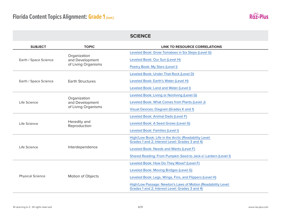

|                         |                                                        | <b>SCIENCE</b>                                                                                                                                                                                                                                                     |
|-------------------------|--------------------------------------------------------|--------------------------------------------------------------------------------------------------------------------------------------------------------------------------------------------------------------------------------------------------------------------|
| <b>SUBJECT</b>          | <b>TOPIC</b>                                           | <b>LINK TO RESOURCE CORRELATIONS</b>                                                                                                                                                                                                                               |
| Earth / Space Science   | Organization<br>and Development<br>of Living Organisms | Leveled Book: Grow Tomatoes in Six Steps (Level G)<br>Leveled Book: Our Sun (Level H)                                                                                                                                                                              |
|                         |                                                        | Poetry Book: My Stars (Level I)<br>Leveled Book: Under That Rock (Level D)                                                                                                                                                                                         |
| Earth / Space Science   | <b>Earth Structures</b>                                | Leveled Book: Earth's Water (Level H)                                                                                                                                                                                                                              |
|                         |                                                        | Leveled Book: Land and Water (Level I)                                                                                                                                                                                                                             |
| Life Science            | Organization<br>and Development<br>of Living Organisms | Leveled Book: Living or Nonliving (Level G)<br>Leveled Book: What Comes from Plants (Level J)<br>Visual Devices: Diagram (Grades K and 1)                                                                                                                          |
| Life Science            | Heredity and<br>Reproduction                           | Leveled Book: Animal Dads (Level F)<br>Leveled Book: A Seed Grows (Level G)<br>Leveled Book: Families (Level I)                                                                                                                                                    |
| Life Science            | Interdependence                                        | High/Low Book: Life in the Arctic (Readability Level:<br>Grades 1 and 2; Interest Level: Grades 3 and 4)<br>Leveled Book: Needs and Wants (Level F)<br>Shared Reading: From Pumpkin Seed to Jack-o'-Lantern (Level 1)                                              |
| <b>Physical Science</b> | Motion of Objects                                      | Leveled Book: How Do They Move? (Level F)<br>Leveled Book: Moving Bridges (Level G)<br>Leveled Book: Legs, Wings, Fins, and Flippers (Level H)<br>High/Low Passage: Newton's Laws of Motion (Readability Level:<br>Grades 1 and 2; Interest Level: Grades 3 and 4) |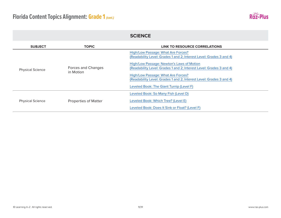

| <b>SUBJECT</b>          | <b>TOPIC</b>                    | <b>LINK TO RESOURCE CORRELATIONS</b>                                                                                                                                                                                                                                                                                                                                                   |
|-------------------------|---------------------------------|----------------------------------------------------------------------------------------------------------------------------------------------------------------------------------------------------------------------------------------------------------------------------------------------------------------------------------------------------------------------------------------|
| <b>Physical Science</b> | Forces and Changes<br>in Motion | High/Low Passage: What Are Forces?<br>(Readability Level: Grades 1 and 2; Interest Level: Grades 3 and 4)<br>High/Low Passage: Newton's Laws of Motion<br>(Readability Level: Grades 1 and 2; Interest Level: Grades 3 and 4)<br>High/Low Passage: What Are Forces?<br>(Readability Level: Grades 1 and 2; Interest Level: Grades 3 and 4)<br>Leveled Book: The Giant Turnip (Level F) |
| <b>Physical Science</b> | <b>Properties of Matter</b>     | Leveled Book: So Many Fish (Level D)<br>Leveled Book: Which Tree? (Level E)<br>Leveled Book: Does It Sink or Float? (Level F)                                                                                                                                                                                                                                                          |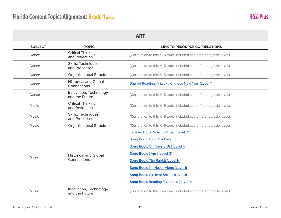

| <b>SUBJECT</b> | <b>TOPIC</b>                                | <b>LINK TO RESOURCE CORRELATIONS</b>                                                                                                                                                                                                                                                                |
|----------------|---------------------------------------------|-----------------------------------------------------------------------------------------------------------------------------------------------------------------------------------------------------------------------------------------------------------------------------------------------------|
| Dance          | <b>Critical Thinking</b><br>and Reflection  | (Correlation to this K-5 topic included at a different grade level.)                                                                                                                                                                                                                                |
| Dance          | Skills, Techniques,<br>and Processes        | (Correlation to this K-5 topic included at a different grade level.)                                                                                                                                                                                                                                |
| Dance          | <b>Organizational Structure</b>             | (Correlation to this K-5 topic included at a different grade level.)                                                                                                                                                                                                                                |
| Dance          | <b>Historical and Global</b><br>Connections | Shared Reading: A Lucky Chinese New Year (Level 1)                                                                                                                                                                                                                                                  |
| Dance          | Innovation, Technology,<br>and the Future   | (Correlation to this K-5 topic included at a different grade level.)                                                                                                                                                                                                                                |
| <b>Music</b>   | <b>Critical Thinking</b><br>and Reflection  | (Correlation to this K-5 topic included at a different grade level.)                                                                                                                                                                                                                                |
| <b>Music</b>   | Skills, Techniques,<br>and Processes        | (Correlation to this K-5 topic included at a different grade level.)                                                                                                                                                                                                                                |
| <b>Music</b>   | <b>Organizational Structure</b>             | (Correlation to this K-5 topic included at a different grade level.)                                                                                                                                                                                                                                |
| <b>Music</b>   | <b>Historical and Global</b><br>Connections | Leveled Book: Swamp Music (Level D)<br>Song Book: Lulo Que Lulo<br>Song Book: Oh Navajo Girl (Level I)<br>Song Book: I Am I (Level G)<br>Song Book: The Rabbit (Level H)<br>Song Book: I'm Never Alone (Level I)<br>Song Book: Circle of Smiles (Level J)<br>Song Book: Reading Mysteries (Level J) |
| Music          | Innovation, Technology,<br>and the Future   | (Correlation to this K-5 topic included at a different grade level.)                                                                                                                                                                                                                                |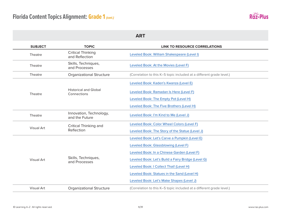

|                   |                                             | <b>ART</b>                                                           |
|-------------------|---------------------------------------------|----------------------------------------------------------------------|
| <b>SUBJECT</b>    | <b>TOPIC</b>                                | <b>LINK TO RESOURCE CORRELATIONS</b>                                 |
| Theatre           | <b>Critical Thinking</b><br>and Reflection  | Leveled Book: William Shakespeare (Level I)                          |
| Theatre           | Skills, Techniques,<br>and Processes        | Leveled Book: At the Movies (Level F)                                |
| Theatre           | <b>Organizational Structure</b>             | (Correlation to this K-5 topic included at a different grade level.) |
|                   |                                             | Leveled Book: Kaden's Kwanza (Level E)                               |
| Theatre           | <b>Historical and Global</b><br>Connections | Leveled Book: Ramadan Is Here (Level F)                              |
|                   |                                             | Leveled Book: The Empty Pot (Level H)                                |
|                   |                                             | Leveled Book: The Five Brothers (Level H)                            |
| Theatre           | Innovation, Technology,<br>and the Future   | Leveled Book: I'm Kind to Me (Level J)                               |
|                   | Critical Thinking and<br>Reflection         | Leveled Book: Color Wheel Colors (Level F)                           |
| Visual Art        |                                             | Leveled Book: The Story of the Statue (Level J)                      |
|                   |                                             | Leveled Book: Let's Carve a Pumpkin (Level E)                        |
|                   |                                             | Leveled Book: Glassblowing (Level F)                                 |
|                   |                                             | Leveled Book: In a Chinese Garden (Level F)                          |
| Visual Art        | Skills, Techniques,<br>and Processes        | Leveled Book: Let's Build a Fairy Bridge (Level G)                   |
|                   |                                             | Leveled Book: I Collect That! (Level H)                              |
|                   |                                             | Leveled Book: Statues in the Sand (Level H)                          |
|                   |                                             | Leveled Book: Let's Make Shapes (Level J)                            |
| <b>Visual Art</b> | <b>Organizational Structure</b>             | (Correlation to this K-5 topic included at a different grade level.) |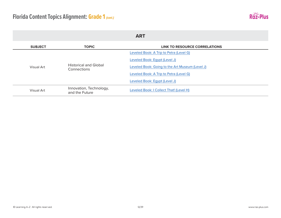

| <b>ART</b>     |                                             |                                                 |
|----------------|---------------------------------------------|-------------------------------------------------|
| <b>SUBJECT</b> | <b>TOPIC</b>                                | LINK TO RESOURCE CORRELATIONS                   |
|                | <b>Historical and Global</b><br>Connections | Leveled Book: A Trip to Petra (Level G)         |
|                |                                             | Leveled Book: Egypt (Level J)                   |
| Visual Art     |                                             | Leveled Book: Going to the Art Museum (Level J) |
|                |                                             | Leveled Book: A Trip to Petra (Level G)         |
|                |                                             | Leveled Book: Egypt (Level J)                   |
| Visual Art     | Innovation, Technology,<br>and the Future   | Leveled Book: I Collect That! (Level H)         |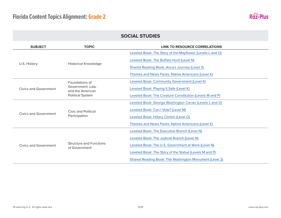

| <b>SUBJECT</b>        | <b>TOPIC</b>                                    | <b>LINK TO RESOURCE CORRELATIONS</b>                      |
|-----------------------|-------------------------------------------------|-----------------------------------------------------------|
| U.S. History          | <b>Historical Knowledge</b>                     | Leveled Book: The Story of the Mayflower (Levels L and O) |
|                       |                                                 | Leveled Book: The Buffalo Hunt (Level N)                  |
|                       |                                                 | <b>Shared Reading Book: Anca's Journey (Level 3)</b>      |
|                       |                                                 | Themes and News Packs: Native Americans (Level K)         |
|                       | Foundations of                                  | Leveled Book: Community Government (Level K)              |
| Civics and Government | Government, Law,<br>and the American            | Leveled Book: Playing It Safe (Level K)                   |
|                       | <b>Political System</b>                         | Leveled Book: The Creature Constitution (Levels M and P)  |
|                       | Civic and Political<br>Participation            | Leveled Book: George Washington Carver (Levels L and O)   |
|                       |                                                 | Leveled Book: Can I Vote? (Level M)                       |
| Civics and Government |                                                 | Leveled Book: Hillary Clinton (Level O)                   |
|                       |                                                 | Themes and News Packs: Native Americans (Level K)         |
| Civics and Government | <b>Structure and Functions</b><br>of Government | Leveled Book: The Executive Branch (Level N)              |
|                       |                                                 | Leveled Book: The Judicial Branch (Level N)               |
|                       |                                                 | Leveled Book: The U.S. Government at Work (Level N)       |
|                       |                                                 | Leveled Book: The Story of the Statue (Levels M and P)    |
|                       |                                                 | Shared Reading Book: The Washington Monument (Level 2)    |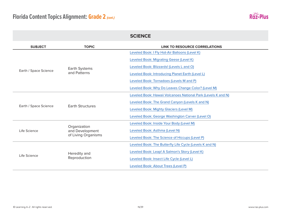

|                       |                                                        | <b>SCIENCE</b>                                                |
|-----------------------|--------------------------------------------------------|---------------------------------------------------------------|
| <b>SUBJECT</b>        | <b>TOPIC</b>                                           | <b>LINK TO RESOURCE CORRELATIONS</b>                          |
|                       |                                                        | Leveled Book: I Fly Hot-Air Balloons (Level K)                |
|                       |                                                        | Leveled Book: Migrating Geese (Level K)                       |
|                       | <b>Earth Systems</b>                                   | Leveled Book: Blizzards! (Levels L and O)                     |
| Earth / Space Science | and Patterns                                           | Leveled Book: Introducing Planet Earth (Level L)              |
|                       |                                                        | Leveled Book: Tornadoes (Levels M and P)                      |
|                       |                                                        | Leveled Book: Why Do Leaves Change Color? (Level M)           |
|                       | <b>Earth Structures</b>                                | Leveled Book: Hawaii Volcanoes National Park (Levels K and N) |
|                       |                                                        | Leveled Book: The Grand Canyon (Levels K and N)               |
| Earth / Space Science |                                                        | Leveled Book: Mighty Glaciers (Level M)                       |
|                       |                                                        | Leveled Book: George Washington Carver (Level O)              |
| Life Science          | Organization<br>and Development<br>of Living Organisms | Leveled Book: Inside Your Body (Level M)                      |
|                       |                                                        | Leveled Book: Asthma (Level N)                                |
|                       |                                                        | Leveled Book: The Science of Hiccups (Level P)                |
|                       | Heredity and<br>Reproduction                           | Leveled Book: The Butterfly Life Cycle (Levels K and N)       |
|                       |                                                        | Leveled Book: Leap! A Salmon's Story (Level K)                |
| Life Science          |                                                        | Leveled Book: Insect Life Cycle (Level L)                     |
|                       |                                                        | Leveled Book: About Trees (Level P)                           |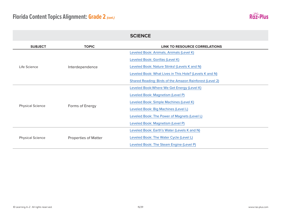

| <b>SUBJECT</b>          | <b>TOPIC</b>                | <b>LINK TO RESOURCE CORRELATIONS</b>                     |
|-------------------------|-----------------------------|----------------------------------------------------------|
| Life Science            | Interdependence             | Leveled Book: Animals, Animals (Level K)                 |
|                         |                             | Leveled Book: Gorillas (Level K)                         |
|                         |                             | Leveled Book: Nature Stinks! (Levels K and N)            |
|                         |                             | Leveled Book: What Lives in This Hole? (Levels K and N)  |
|                         |                             | Shared Reading: Birds of the Amazon Rainforest (Level 2) |
|                         | Forms of Energy             | Leveled Book: Where We Get Energy (Level K)              |
|                         |                             | Leveled Book: Magnetism (Level P)                        |
|                         |                             | Leveled Book: Simple Machines (Level K)                  |
| <b>Physical Science</b> |                             | Leveled Book: Big Machines (Level L)                     |
|                         |                             | Leveled Book: The Power of Magnets (Level L)             |
|                         |                             | Leveled Book: Magnetism (Level P)                        |
|                         | <b>Properties of Matter</b> | Leveled Book: Earth's Water (Levels K and N)             |
| <b>Physical Science</b> |                             | Leveled Book: The Water Cycle (Level L)                  |
|                         |                             | Leveled Book: The Steam Engine (Level P)                 |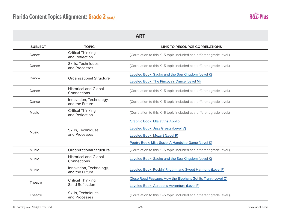

| <b>SUBJECT</b> | <b>TOPIC</b>                                | <b>LINK TO RESOURCE CORRELATIONS</b>                                 |
|----------------|---------------------------------------------|----------------------------------------------------------------------|
| Dance          | <b>Critical Thinking</b><br>and Reflection  | (Correlation to this K-5 topic included at a different grade level.) |
| Dance          | Skills, Techniques,<br>and Processes        | (Correlation to this K-5 topic included at a different grade level.) |
| Dance          |                                             | Leveled Book: Sadko and the Sea Kingdom (Level K)                    |
|                | <b>Organizational Structure</b>             | Leveled Book: The Pincoya's Dance (Level M)                          |
| Dance          | <b>Historical and Global</b><br>Connections | (Correlation to this K-5 topic included at a different grade level.) |
| Dance          | Innovation, Technology,<br>and the Future   | (Correlation to this K-5 topic included at a different grade level.) |
| Music          | <b>Critical Thinking</b><br>and Reflection  | (Correlation to this K-5 topic included at a different grade level.) |
|                | Skills, Techniques,<br>and Processes        | <b>Graphic Book: Ella at the Apollo</b>                              |
| Music          |                                             | Leveled Book: Jazz Greats (Level V)                                  |
|                |                                             | Leveled Book: Mozart (Level R)                                       |
|                |                                             | Poetry Book: Miss Susie: A Handclap Game (Level K)                   |
| <b>Music</b>   | <b>Organizational Structure</b>             | (Correlation to this K-5 topic included at a different grade level.) |
| Music          | <b>Historical and Global</b><br>Connections | Leveled Book: Sadko and the Sea Kingdom (Level K)                    |
| Music          | Innovation, Technology,<br>and the Future   | Leveled Book: Rockin' Rhythm and Sweet Harmony (Level P)             |
| Theatre        | <b>Critical Thinking</b>                    | Close Read Passage: How the Elephant Got Its Trunk (Level O)         |
|                | <b>Sand Reflection</b>                      | Leveled Book: Acropolis Adventure (Level P)                          |
| Theatre        | Skills, Techniques,<br>and Processes        | (Correlation to this K-5 topic included at a different grade level.) |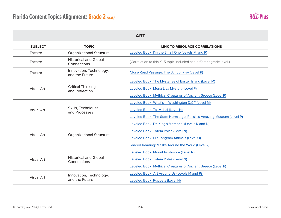

| <b>SUBJECT</b>    | <b>TOPIC</b>                                | <b>LINK TO RESOURCE CORRELATIONS</b>                                 |
|-------------------|---------------------------------------------|----------------------------------------------------------------------|
| Theatre           | <b>Organizational Structure</b>             | Leveled Book: I'm the Small One (Levels M and P)                     |
| Theatre           | <b>Historical and Global</b><br>Connections | (Correlation to this K-5 topic included at a different grade level.) |
| Theatre           | Innovation, Technology,<br>and the Future   | Close Read Passage: The School Play (Level P)                        |
|                   | <b>Critical Thinking</b><br>and Reflection  | Leveled Book: The Mysteries of Easter Island (Level M)               |
| Visual Art        |                                             | Leveled Book: Mona Lisa Mystery (Level P)                            |
|                   |                                             | Leveled Book: Mythical Creatures of Ancient Greece (Level P)         |
|                   | Skills, Techniques,<br>and Processes        | Leveled Book: What's in Washington D.C.? (Level M)                   |
| Visual Art        |                                             | Leveled Book: Taj Mahal (Level N)                                    |
|                   |                                             | Leveled Book: The State Hermitage: Russia's Amazing Museum (Level P) |
|                   | <b>Organizational Structure</b>             | Leveled Book: Dr. King's Memorial (Levels K and N)                   |
|                   |                                             | Leveled Book: Totem Poles (Level N)                                  |
| Visual Art        |                                             | Leveled Book: Li's Tangram Animals (Level O)                         |
|                   |                                             | Shared Reading: Masks Around the World (Level 2)                     |
| <b>Visual Art</b> | <b>Historical and Global</b><br>Connections | Leveled Book: Mount Rushmore (Level N)                               |
|                   |                                             | Leveled Book: Totem Poles (Level N)                                  |
|                   |                                             | Leveled Book: Mythical Creatures of Ancient Greece (Level P)         |
|                   | Innovation, Technology,                     | Leveled Book: Art Around Us (Levels M and P)                         |
| <b>Visual Art</b> | and the Future                              | Leveled Book: Puppets (Level N)                                      |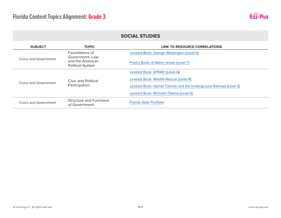

| <b>SUBJECT</b>        | <b>TOPIC</b>                                                    | <b>LINK TO RESOURCE CORRELATIONS</b>                                |
|-----------------------|-----------------------------------------------------------------|---------------------------------------------------------------------|
|                       | Foundations of                                                  | Leveled Book: George Washington (Level S)                           |
| Civics and Government | Government, Law,<br>and the American<br><b>Political System</b> | Poetry Book: A Nation Arises (Level T)                              |
| Civics and Government | Civic and Political<br>Participation                            | Leveled Book: SPRAK! (Level Q)                                      |
|                       |                                                                 | Leveled Book: Wildlife Rescue (Level R)                             |
|                       |                                                                 | Leveled Book: Harriet Tubman and the Underground Railroad (Level S) |
|                       |                                                                 | Leveled Book: Michelle Obama (Level S)                              |
| Civics and Government | <b>Structure and Functions</b><br>of Government                 | <b>Florida State Portfolio</b>                                      |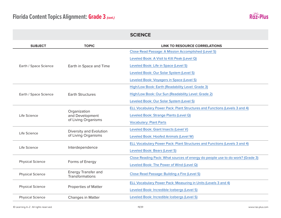

|                         |                                                        | <b>SCIENCE</b>                                                                 |
|-------------------------|--------------------------------------------------------|--------------------------------------------------------------------------------|
| <b>SUBJECT</b>          | <b>TOPIC</b>                                           | <b>LINK TO RESOURCE CORRELATIONS</b>                                           |
| Earth / Space Science   |                                                        | Close Read Passage: A Mission Accomplished (Level S)                           |
|                         |                                                        | Leveled Book: A Visit to Kitt Peak (Level Q)                                   |
|                         | Earth in Space and Time                                | Leveled Book: Life in Space (Level S)                                          |
|                         |                                                        | Leveled Book: Our Solar System (Level S)                                       |
|                         |                                                        | Leveled Book: Voyagers in Space (Level S)                                      |
|                         |                                                        | High/Low Book: Earth (Readability Level: Grade 3)                              |
| Earth / Space Science   | <b>Earth Structures</b>                                | High/Low Book: Our Sun (Readability Level: Grade 2)                            |
|                         |                                                        | Leveled Book: Our Solar System (Level S)                                       |
|                         | Organization<br>and Development<br>of Living Organisms | ELL Vocabulary Power Pack: Plant Structures and Functions (Levels 3 and 4)     |
| Life Science            |                                                        | Leveled Book: Strange Plants (Level Q)                                         |
|                         |                                                        | <b>Vocabulary: Plant Parts</b>                                                 |
|                         | Diversity and Evolution<br>of Living Organisms         | Leveled Book: Giant Insects (Level V)                                          |
| Life Science            |                                                        | Leveled Book: Hoofed Animals (Level W)                                         |
|                         | Interdependence                                        | ELL Vocabulary Power Pack: Plant Structures and Functions (Levels 3 and 4)     |
| Life Science            |                                                        | Leveled Book: Bears (Level S)                                                  |
| <b>Physical Science</b> | Forms of Energy                                        | Close Reading Pack: What sources of energy do people use to do work? (Grade 3) |
|                         |                                                        | Leveled Book: The Power of Wind (Level Q)                                      |
| <b>Physical Science</b> | <b>Energy Transfer and</b><br>Transformations          | Close Read Passage: Building a Fire (Level S)                                  |
|                         |                                                        | ELL Vocabulary Power Pack: Measuring in Units (Levels 3 and 4)                 |
| <b>Physical Science</b> | <b>Properties of Matter</b>                            | Leveled Book: Incredible Icebergs (Level S)                                    |
| <b>Physical Science</b> | <b>Changes in Matter</b>                               | Leveled Book: Incredible Icebergs (Level S)                                    |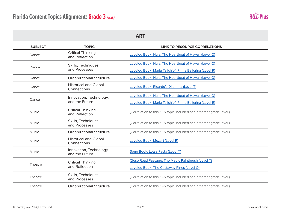

| <b>SUBJECT</b> | <b>TOPIC</b>                                | <b>LINK TO RESOURCE CORRELATIONS</b>                                 |
|----------------|---------------------------------------------|----------------------------------------------------------------------|
| Dance          | <b>Critical Thinking</b><br>and Reflection  | Leveled Book: Hula: The Heartbeat of Hawaii (Level Q)                |
|                | Skills, Techniques,                         | Leveled Book: Hula: The Heartbeat of Hawaii (Level Q)                |
| Dance          | and Processes                               | Leveled Book: Maria Tallchief: Prima Ballerina (Level R)             |
| Dance          | <b>Organizational Structure</b>             | Leveled Book: Hula: The Heartbeat of Hawaii (Level Q)                |
| Dance          | <b>Historical and Global</b><br>Connections | Leveled Book: Ricardo's Dilemma (Level T)                            |
|                | Innovation, Technology,                     | Leveled Book: Hula: The Heartbeat of Hawaii (Level Q)                |
| Dance          | and the Future                              | Leveled Book: Maria Tallchief: Prima Ballerina (Level R)             |
| Music          | <b>Critical Thinking</b><br>and Reflection  | (Correlation to this K-5 topic included at a different grade level.) |
| <b>Music</b>   | Skills, Techniques,<br>and Processes        | (Correlation to this K-5 topic included at a different grade level.) |
| Music          | <b>Organizational Structure</b>             | (Correlation to this K-5 topic included at a different grade level.) |
| <b>Music</b>   | <b>Historical and Global</b><br>Connections | Leveled Book: Mozart (Level R)                                       |
| Music          | Innovation, Technology,<br>and the Future   | Song Book: Lotsa Pasta (Level T)                                     |
| Theatre        | <b>Critical Thinking</b><br>and Reflection  | Close Read Passage: The Magic Paintbrush (Level T)                   |
|                |                                             | Leveled Book: The Castaway Pines (Level Q)                           |
| Theatre        | Skills, Techniques,<br>and Processes        | (Correlation to this K-5 topic included at a different grade level.) |
| Theatre        | <b>Organizational Structure</b>             | (Correlation to this K-5 topic included at a different grade level.) |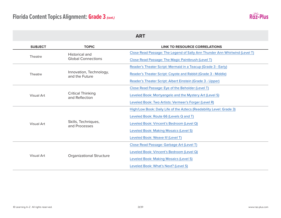

| <b>ART</b>     |                                            |                                                                             |
|----------------|--------------------------------------------|-----------------------------------------------------------------------------|
| <b>SUBJECT</b> | <b>TOPIC</b>                               | <b>LINK TO RESOURCE CORRELATIONS</b>                                        |
|                | <b>Historical and</b>                      | Close Read Passage: The Legend of Sally Ann Thunder Ann Whirlwind (Level T) |
| Theatre        | <b>Global Connections</b>                  | Close Read Passage: The Magic Paintbrush (Level T)                          |
|                |                                            | Reader's Theater Script: Mermaid in a Teacup (Grade 3 - Early)              |
| Theatre        | Innovation, Technology,<br>and the Future  | Reader's Theater Script: Coyote and Rabbit (Grade 3 - Middle)               |
|                |                                            | Reader's Theater Script: Albert Einstein (Grade 3 - Upper)                  |
|                | <b>Critical Thinking</b><br>and Reflection | Close Read Passage: Eye of the Beholder (Level T)                           |
| Visual Art     |                                            | Leveled Book: Mortyangelo and the Mystery Art (Level S)                     |
|                |                                            | Leveled Book: Two Artists: Vermeer's Forger (Level R)                       |
|                |                                            | High/Low Book: Daily Life of the Aztecs (Readability Level: Grade 3)        |
|                | Skills, Techniques,<br>and Processes       | Leveled Book: Route 66 (Levels Q and T)                                     |
| Visual Art     |                                            | Leveled Book: Vincent's Bedroom (Level Q)                                   |
|                |                                            | Leveled Book: Making Mosaics (Level S)                                      |
|                |                                            | Leveled Book: Weave It! (Level T)                                           |
|                | <b>Organizational Structure</b>            | Close Read Passage: Garbage Art (Level T)                                   |
|                |                                            | Leveled Book: Vincent's Bedroom (Level Q)                                   |
| Visual Art     |                                            | Leveled Book: Making Mosaics (Level S)                                      |
|                |                                            | Leveled Book: What's Next? (Level S)                                        |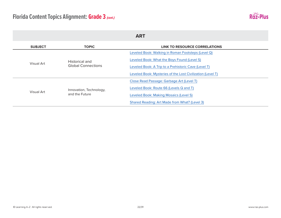

| <b>ART</b>     |                                             |                                                            |  |
|----------------|---------------------------------------------|------------------------------------------------------------|--|
| <b>SUBJECT</b> | <b>TOPIC</b>                                | LINK TO RESOURCE CORRELATIONS                              |  |
|                | Historical and<br><b>Global Connections</b> | Leveled Book: Walking in Roman Footsteps (Level Q)         |  |
|                |                                             | Leveled Book: What the Boys Found (Level S)                |  |
| Visual Art     |                                             | Leveled Book: A Trip to a Prehistoric Cave (Level T)       |  |
|                |                                             | Leveled Book: Mysteries of the Lost Civilization (Level T) |  |
|                | Innovation, Technology,<br>and the Future   | Close Read Passage: Garbage Art (Level T)                  |  |
|                |                                             | Leveled Book: Route 66 (Levels Q and T)                    |  |
| Visual Art     |                                             | Leveled Book: Making Mosaics (Level S)                     |  |
|                |                                             | Shared Reading: Art Made from What? (Level 3)              |  |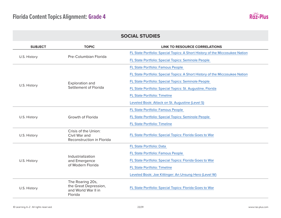

#### **SOCIAL STUDIES SUBJECT TOPIC LINK TO RESOURCE CORRELATIONS** U.S. History **Pre-Columbian Florida** [FL State Portfolio: Special Topics: A Short History of the Miccosukee Nation](http://raz-plus.com/content-area-reading/social-studies/) [FL State Portfolio: Special Topics: Seminole People](http://raz-plus.com/content-area-reading/social-studies/)  U.S. History Exploration and Settlement of Florida [FL State Portfolio: Famous People](http://raz-plus.com/content-area-reading/social-studies/)  [FL State Portfolio: Special Topics: A Short History of the Miccosukee Nation](http://raz-plus.com/content-area-reading/social-studies/) [FL State Portfolio: Special Topics: Seminole People](http://raz-plus.com/content-area-reading/social-studies/)  [FL State Portfolio: Special Topics: St. Augustine, Florida](http://raz-plus.com/content-area-reading/social-studies/) [FL State Portfolio: Timeline](http://raz-plus.com/content-area-reading/social-studies/) [Leveled Book: Attack on St. Augustine \(Level S\)](https://www.raz-plus.com/books/leveled-books/book/?id=4120&langId=1) U.S. History Growth of Florida [FL State Portfolio: Famous People](http://raz-plus.com/content-area-reading/social-studies/)  [FL State Portfolio: Special Topics: Seminole People](http://raz-plus.com/content-area-reading/social-studies/)  [FL State Portfolio: Timeline](http://raz-plus.com/content-area-reading/social-studies/) U.S. History Crisis of the Union: Civil War and Reconstruction in Florida [FL State Portfolio: Special Topics: Florida Goes to War](http://raz-plus.com/content-area-reading/social-studies/) U.S. History Industrialization and Emergence of Modern Florida [FL State Portfolio: Data](http://raz-plus.com/content-area-reading/social-studies/)  [FL State Portfolio: Famous People](http://raz-plus.com/content-area-reading/social-studies/)  [FL State Portfolio: Special Topics: Florida Goes to War](http://raz-plus.com/content-area-reading/social-studies/) [FL State Portfolio: Timeline](http://raz-plus.com/content-area-reading/social-studies/) [Leveled Book: Joe Kittinger: An Unsung Hero \(Level W\)](https://www.readinga-z.com/books/leveled-books/book/?id=1014&langId=1) U.S. History The Roaring 20s, the Great Depression, and World War II in Florida [FL State Portfolio: Special Topics: Florida Goes to War](http://raz-plus.com/content-area-reading/social-studies/)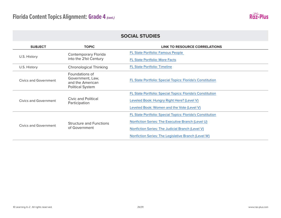

| <b>SUBJECT</b>        | <b>TOPIC</b>                                                                      | <b>LINK TO RESOURCE CORRELATIONS</b>                       |
|-----------------------|-----------------------------------------------------------------------------------|------------------------------------------------------------|
|                       | <b>Contemporary Florida</b><br>into the 21st Century                              | FL State Portfolio: Famous People                          |
| U.S. History          |                                                                                   | <b>FL State Portfolio: More Facts</b>                      |
| U.S. History          | <b>Chronological Thinking</b>                                                     | <b>FL State Portfolio: Timeline</b>                        |
| Civics and Government | Foundations of<br>Government, Law,<br>and the American<br><b>Political System</b> | FL State Portfolio: Special Topics: Florida's Constitution |
|                       |                                                                                   | FL State Portfolio: Special Topics: Florida's Constitution |
| Civics and Government | Civic and Political<br>Participation                                              | Leveled Book: Hungry Right Here? (Level V)                 |
|                       |                                                                                   | Leveled Book: Women and the Vote (Level V)                 |
| Civics and Government |                                                                                   | FL State Portfolio: Special Topics: Florida's Constitution |
|                       | <b>Structure and Functions</b><br>of Government                                   | Nonfiction Series: The Executive Branch (Level U)          |
|                       |                                                                                   | Nonfiction Series: The Judicial Branch (Level V)           |
|                       |                                                                                   | Nonfiction Series: The Legislative Branch (Level W)        |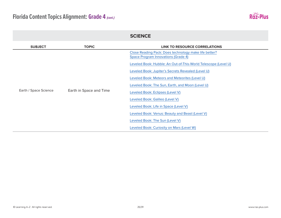

|                       |                         | <b>SCIENCE</b>                                                                                      |
|-----------------------|-------------------------|-----------------------------------------------------------------------------------------------------|
| <b>SUBJECT</b>        | <b>TOPIC</b>            | <b>LINK TO RESOURCE CORRELATIONS</b>                                                                |
|                       |                         | Close Reading Pack: Does technology make life better?<br><b>Space Program Innovations (Grade 4)</b> |
|                       |                         | Leveled Book: Hubble: An Out-of-This-World Telescope (Level U)                                      |
|                       |                         | Leveled Book: Jupiter's Secrets Revealed (Level U)                                                  |
| Earth / Space Science |                         | Leveled Book: Meteors and Meteorites (Level U)                                                      |
|                       |                         | Leveled Book: The Sun, Earth, and Moon (Level U)                                                    |
|                       | Earth in Space and Time | Leveled Book: Eclipses (Level V)                                                                    |
|                       |                         | Leveled Book: Galileo (Level V)                                                                     |
|                       |                         | Leveled Book: Life in Space (Level V)                                                               |
|                       |                         | Leveled Book: Venus: Beauty and Beast (Level V)                                                     |
|                       |                         | Leveled Book: The Sun (Level V)                                                                     |
|                       |                         | Leveled Book: Curiosity on Mars (Level W)                                                           |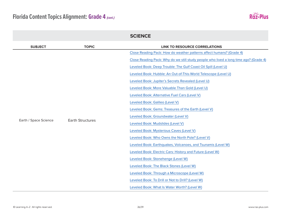

|                       |                         | <b>SCIENCE</b>                                                                        |
|-----------------------|-------------------------|---------------------------------------------------------------------------------------|
| <b>SUBJECT</b>        | <b>TOPIC</b>            | <b>LINK TO RESOURCE CORRELATIONS</b>                                                  |
|                       |                         | Close Reading Pack: How do weather patterns affect humans? (Grade 4)                  |
|                       |                         | Close Reading Pack: Why do we still study people who lived a long time ago? (Grade 4) |
|                       |                         | Leveled Book: Deep Trouble: The Gulf Coast Oil Spill (Level U)                        |
|                       |                         | Leveled Book: Hubble: An Out-of-This-World Telescope (Level U)                        |
|                       |                         | Leveled Book: Jupiter's Secrets Revealed (Level U)                                    |
|                       |                         | Leveled Book: More Valuable Than Gold (Level U)                                       |
|                       | <b>Earth Structures</b> | Leveled Book: Alternative Fuel Cars (Level V)                                         |
|                       |                         | Leveled Book: Galileo (Level V)                                                       |
| Earth / Space Science |                         | Leveled Book: Gems: Treasures of the Earth (Level V)                                  |
|                       |                         | Leveled Book: Groundwater (Level V)                                                   |
|                       |                         | Leveled Book: Mudslides (Level V)                                                     |
|                       |                         | Leveled Book: Mysterious Caves (Level V)                                              |
|                       |                         | Leveled Book: Who Owns the North Pole? (Level V)                                      |
|                       |                         | Leveled Book: Earthquakes, Volcanoes, and Tsunamis (Level W)                          |
|                       |                         | Leveled Book: Electric Cars: History and Future (Level W)                             |
|                       |                         | Leveled Book: Stonehenge (Level W)                                                    |
|                       |                         | Leveled Book: The Black Stones (Level W)                                              |
|                       |                         | Leveled Book: Through a Microscope (Level W)                                          |
|                       |                         | Leveled Book: To Drill or Not to Drill? (Level W)                                     |
|                       |                         | Leveled Book: What Is Water Worth? (Level W)                                          |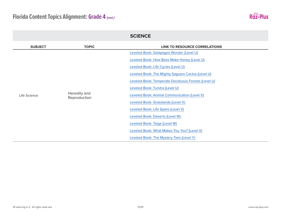

|                |                              | <b>SCIENCE</b>                                      |
|----------------|------------------------------|-----------------------------------------------------|
| <b>SUBJECT</b> | <b>TOPIC</b>                 | <b>LINK TO RESOURCE CORRELATIONS</b>                |
|                |                              | Leveled Book: Galapagos Wonder (Level U)            |
|                |                              | Leveled Book: How Bees Make Honey (Level U)         |
|                |                              | Leveled Book: Life Cycles (Level U)                 |
|                |                              | Leveled Book: The Mighty Saguaro Cactus (Level U)   |
|                | Heredity and<br>Reproduction | Leveled Book: Temperate Deciduous Forests (Level U) |
| Life Science   |                              | Leveled Book: Tundra (Level U)                      |
|                |                              | Leveled Book: Animal Communication (Level V)        |
|                |                              | Leveled Book: Grasslands (Level V)                  |
|                |                              | Leveled Book: Life Spans (Level V)                  |
|                |                              | Leveled Book: Deserts (Level W)                     |
|                |                              | Leveled Book: Taiga (Level W)                       |
|                |                              | Leveled Book: What Makes You You? (Level X)         |
|                |                              | Leveled Book: The Mystery Twin (Level Y)            |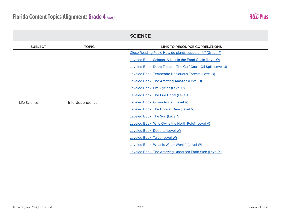

|                |                 | <b>SCIENCE</b>                                                 |
|----------------|-----------------|----------------------------------------------------------------|
| <b>SUBJECT</b> | <b>TOPIC</b>    | <b>LINK TO RESOURCE CORRELATIONS</b>                           |
|                |                 | Close Reading Pack: How do plants support life? (Grade 4)      |
|                |                 | Leveled Book: Salmon: A Link in the Food Chain (Level Q)       |
|                |                 | Leveled Book: Deep Trouble: The Gulf Coast Oil Spill (Level U) |
|                |                 | Leveled Book: Temperate Deciduous Forests (Level U)            |
|                |                 | Leveled Book: The Amazing Amazon (Level U)                     |
|                |                 | Leveled Book: Life Cycles (Level U)                            |
|                |                 | Leveled Book: The Erie Canal (Level U)                         |
| Life Science   | Interdependence | Leveled Book: Groundwater (Level V)                            |
|                |                 | Leveled Book: The Hoover Dam (Level V)                         |
|                |                 | Leveled Book: The Sun (Level V)                                |
|                |                 | Leveled Book: Who Owns the North Pole? (Level V)               |
|                |                 | Leveled Book: Deserts (Level W)                                |
|                |                 | Leveled Book: Taiga (Level W)                                  |
|                |                 | Leveled Book: What Is Water Worth? (Level W)                   |
|                |                 | Leveled Book: The Amazing Undersea Food Web (Level X)          |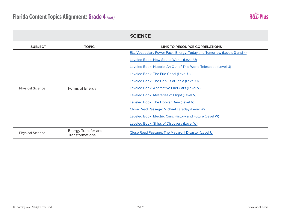

|                         |                                                      | <b>SCIENCE</b>                                                         |
|-------------------------|------------------------------------------------------|------------------------------------------------------------------------|
| <b>SUBJECT</b>          | <b>TOPIC</b>                                         | <b>LINK TO RESOURCE CORRELATIONS</b>                                   |
|                         |                                                      | ELL Vocabulary Power Pack: Energy: Today and Tomorrow (Levels 3 and 4) |
|                         |                                                      | Leveled Book: How Sound Works (Level U)                                |
|                         |                                                      | Leveled Book: Hubble: An Out-of-This-World Telescope (Level U)         |
|                         |                                                      | Leveled Book: The Erie Canal (Level U)                                 |
|                         |                                                      | Leveled Book: The Genius of Tesla (Level U)                            |
| <b>Physical Science</b> | Forms of Energy                                      | Leveled Book: Alternative Fuel Cars (Level V)                          |
|                         |                                                      | Leveled Book: Mysteries of Flight (Level V)                            |
|                         |                                                      | Leveled Book: The Hoover Dam (Level V)                                 |
|                         |                                                      | Close Read Passage: Michael Faraday (Level W)                          |
|                         |                                                      | Leveled Book: Electric Cars: History and Future (Level W)              |
|                         |                                                      | Leveled Book: Ships of Discovery (Level W)                             |
| <b>Physical Science</b> | <b>Energy Transfer and</b><br><b>Transformations</b> | Close Read Passage: The Macaroni Disaster (Level U)                    |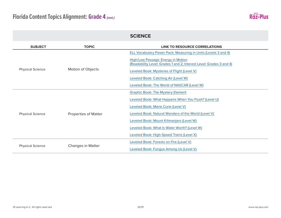

|                         |                             | <b>SCIENCE</b>                                                                                            |
|-------------------------|-----------------------------|-----------------------------------------------------------------------------------------------------------|
| <b>SUBJECT</b>          | <b>TOPIC</b>                | <b>LINK TO RESOURCE CORRELATIONS</b>                                                                      |
|                         |                             | ELL Vocabulary Power Pack: Measuring in Units (Levels 3 and 4)                                            |
|                         |                             | High/Low Passage: Energy in Motion<br>(Readability Level: Grades 1 and 2; Interest Level: Grades 3 and 4) |
| <b>Physical Science</b> | Motion of Objects           | Leveled Book: Mysteries of Flight (Level V)                                                               |
|                         |                             | Leveled Book: Catching Air (Level W)                                                                      |
|                         |                             | Leveled Book: The World of NASCAR (Level W)                                                               |
|                         | <b>Properties of Matter</b> | <b>Graphic Book: The Mystery Element</b>                                                                  |
|                         |                             | Leveled Book: What Happens When You Flush? (Level U)                                                      |
|                         |                             | Leveled Book: Marie Curie (Level V)                                                                       |
| <b>Physical Science</b> |                             | Leveled Book: Natural Wonders of the World (Level V)                                                      |
|                         |                             | Leveled Book: Mount Kilimanjaro (Level W)                                                                 |
|                         |                             | Leveled Book: What Is Water Worth? (Level W)                                                              |
|                         |                             | Leveled Book: High-Speed Trains (Level X)                                                                 |
|                         | <b>Changes in Matter</b>    | Leveled Book: Forests on Fire (Level V)                                                                   |
| <b>Physical Science</b> |                             | Leveled Book: Fungus Among Us (Level V)                                                                   |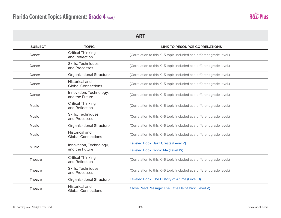

| <b>SUBJECT</b> | <b>TOPIC</b>                                       | <b>LINK TO RESOURCE CORRELATIONS</b>                                 |
|----------------|----------------------------------------------------|----------------------------------------------------------------------|
| Dance          | <b>Critical Thinking</b><br>and Reflection         | (Correlation to this K-5 topic included at a different grade level.) |
| Dance          | Skills, Techniques,<br>and Processes               | (Correlation to this K-5 topic included at a different grade level.) |
| Dance          | <b>Organizational Structure</b>                    | (Correlation to this K-5 topic included at a different grade level.) |
| Dance          | Historical and<br><b>Global Connections</b>        | (Correlation to this K-5 topic included at a different grade level.) |
| Dance          | Innovation, Technology,<br>and the Future          | (Correlation to this K-5 topic included at a different grade level.) |
| <b>Music</b>   | <b>Critical Thinking</b><br>and Reflection         | (Correlation to this K-5 topic included at a different grade level.) |
| <b>Music</b>   | Skills, Techniques,<br>and Processes               | (Correlation to this K-5 topic included at a different grade level.) |
| Music          | <b>Organizational Structure</b>                    | (Correlation to this K-5 topic included at a different grade level.) |
| <b>Music</b>   | <b>Historical and</b><br><b>Global Connections</b> | (Correlation to this K-5 topic included at a different grade level.) |
|                | Innovation, Technology,                            | Leveled Book: Jazz Greats (Level V)                                  |
| <b>Music</b>   | and the Future                                     | Leveled Book: Yo-Yo Ma (Level W)                                     |
| Theatre        | <b>Critical Thinking</b><br>and Reflection         | (Correlation to this K-5 topic included at a different grade level.) |
| Theatre        | Skills, Techniques,<br>and Processes               | (Correlation to this K-5 topic included at a different grade level.) |
| Theatre        | <b>Organizational Structure</b>                    | Leveled Book: The History of Anime (Level U)                         |
| Theatre        | <b>Historical and</b><br><b>Global Connections</b> | Close Read Passage: The Little Half-Chick (Level V)                  |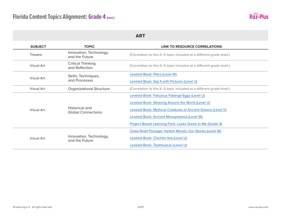

| <b>SUBJECT</b> | <b>TOPIC</b>                                | <b>LINK TO RESOURCE CORRELATIONS</b>                                 |
|----------------|---------------------------------------------|----------------------------------------------------------------------|
| <b>Theatre</b> | Innovation, Technology,<br>and the Future   | (Correlation to this K-5 topic included at a different grade level.) |
| Visual Art     | <b>Critical Thinking</b><br>and Reflection  | (Correlation to this K-5 topic included at a different grade level.) |
|                | Skills, Techniques,<br>and Processes        | Leveled Book: Petra (Level W)                                        |
| Visual Art     |                                             | Leveled Book: Say It with Pictures (Level U)                         |
| Visual Art     | <b>Organizational Structure</b>             | (Correlation to this K-5 topic included at a different grade level.) |
|                | Historical and<br><b>Global Connections</b> | Leveled Book: Fabulous Fabergé Eggs (Level U)                        |
|                |                                             | Leveled Book: Weaving Around the World (Level U)                     |
| Visual Art     |                                             | Leveled Book: Mythical Creatures of Ancient Greece (Level V)         |
|                |                                             | Leveled Book: Ancient Mesopotamia (Level W)                          |
|                |                                             | Project-Based Learning Pack: Looks Greek to Me (Grade 4)             |
| Visual Art     |                                             | Close Read Passage: Harlem Murals: Our Stories (Level W)             |
|                | Innovation, Technology,<br>and the Future   | Leveled Book: Chichén Itzá (Level U)                                 |
|                |                                             | Leveled Book: Teotihuacan (Level U)                                  |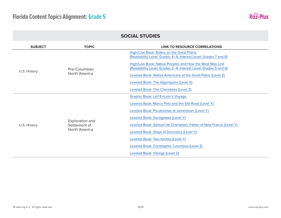

| <b>SUBJECT</b> | <b>TOPIC</b>                                             | <b>LINK TO RESOURCE CORRELATIONS</b>                                                                                       |
|----------------|----------------------------------------------------------|----------------------------------------------------------------------------------------------------------------------------|
|                | Pre-Columbian<br>North America                           | High/Low Book: Riders on the Great Plains<br>(Readability Level: Grades 4-6; Interest Level: Grades 7 and 8)               |
|                |                                                          | High/Low Book: Native Peoples and How the West Was Lost<br>(Readability Level: Grades 2-4; Interest Level: Grades 5 and 6) |
| U.S. History   |                                                          | Leveled Book: Native Americans of the Great Plains (Level Z)                                                               |
|                |                                                          | Leveled Book: The Algonquins (Level X)                                                                                     |
|                |                                                          | Leveled Book: The Cherokees (Level Z)                                                                                      |
|                | Exploration and<br>Settlement of<br><b>North America</b> | <b>Graphic Book: Leif Ericson's Voyage</b>                                                                                 |
|                |                                                          | Leveled Book: Marco Polo and the Silk Road (Level Y)                                                                       |
|                |                                                          | Leveled Book: Pocahontas at Jamestown (Level Y)                                                                            |
|                |                                                          | Leveled Book: Sacagawea (Level Y)                                                                                          |
| U.S. History   |                                                          | Leveled Book: Samuel de Champlain, Father of New France (Level Y)                                                          |
|                |                                                          | Leveled Book: Ships of Discovery (Level Y)                                                                                 |
|                |                                                          | Leveled Book: Two Kettles (Level Y)                                                                                        |
|                |                                                          | Leveled Book: Christopher Columbus (Level Z)                                                                               |
|                |                                                          | Leveled Book: Vikings (Level Z)                                                                                            |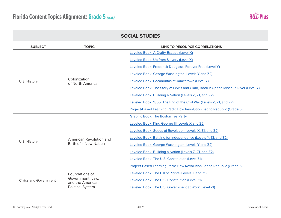

| <b>SOCIAL STUDIES</b>        |                                                                 |                                                                                     |
|------------------------------|-----------------------------------------------------------------|-------------------------------------------------------------------------------------|
| <b>SUBJECT</b>               | <b>TOPIC</b>                                                    | <b>LINK TO RESOURCE CORRELATIONS</b>                                                |
|                              |                                                                 | Leveled Book: A Crafty Escape (Level X)                                             |
|                              |                                                                 | Leveled Book: Up from Slavery (Level X)                                             |
|                              |                                                                 | Leveled Book: Frederick Douglass: Forever Free (Level Y)                            |
|                              |                                                                 | Leveled Book: George Washington (Levels Y and Z2)                                   |
| U.S. History                 | Colonization<br>of North America                                | Leveled Book: Pocahontas at Jamestown (Level Y)                                     |
|                              |                                                                 | Leveled Book: The Story of Lewis and Clark, Book 1: Up the Missouri River (Level Y) |
|                              |                                                                 | Leveled Book: Building a Nation (Levels Z, Z1, and Z2)                              |
|                              |                                                                 | Leveled Book: 1865: The End of the Civil War (Levels Z, Z1, and Z2)                 |
|                              |                                                                 | Project-Based Learning Pack: How Revolution Led to Republic (Grade 5)               |
|                              | American Revolution and<br>Birth of a New Nation                | <b>Graphic Book: The Boston Tea Party</b>                                           |
|                              |                                                                 | Leveled Book: King George III (Levels X and Z2)                                     |
|                              |                                                                 | Leveled Book: Seeds of Revolution (Levels X, Z1, and Z2)                            |
|                              |                                                                 | Leveled Book: Battling for Independence (Levels Y, Z1, and Z2)                      |
| U.S. History                 |                                                                 | Leveled Book: George Washington (Levels Y and Z2)                                   |
|                              |                                                                 | Leveled Book: Building a Nation (Levels Z, Z1, and Z2)                              |
|                              |                                                                 | Leveled Book: The U.S. Constitution (Level Z1)                                      |
|                              |                                                                 | Project-Based Learning Pack: How Revolution Led to Republic (Grade 5)               |
|                              | Foundations of                                                  | Leveled Book: The Bill of Rights (Levels X and Z1)                                  |
| <b>Civics and Government</b> | Government, Law,<br>and the American<br><b>Political System</b> | Leveled Book: The U.S. Constitution (Level Z1)                                      |
|                              |                                                                 | Leveled Book: The U.S. Government at Work (Level Z1)                                |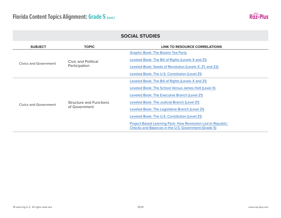

| <b>SUBJECT</b>        | <b>TOPIC</b>                                    | LINK TO RESOURCE CORRELATIONS                                                                                        |
|-----------------------|-------------------------------------------------|----------------------------------------------------------------------------------------------------------------------|
|                       | Civic and Political<br>Participation            | <b>Graphic Book: The Boston Tea Party</b>                                                                            |
|                       |                                                 | Leveled Book: The Bill of Rights (Levels X and Z1)                                                                   |
| Civics and Government |                                                 | Leveled Book: Seeds of Revolution (Levels X, Z1, and Z2)                                                             |
|                       |                                                 | Leveled Book: The U.S. Constitution (Level Z1)                                                                       |
|                       | <b>Structure and Functions</b><br>of Government | Leveled Book: The Bill of Rights (Levels X and Z1)                                                                   |
|                       |                                                 | Leveled Book: The School Versus James Holt (Level X)                                                                 |
| Civics and Government |                                                 | Leveled Book: The Executive Branch (Level Z1)                                                                        |
|                       |                                                 | Leveled Book: The Judicial Branch (Level Z1)                                                                         |
|                       |                                                 | Leveled Book: The Legislative Branch (Level Z1)                                                                      |
|                       |                                                 | Leveled Book: The U.S. Constitution (Level Z1)                                                                       |
|                       |                                                 | Project-Based Learning Pack: How Revolution Led to Republic:<br>Checks and Balances in the U.S. Government (Grade 5) |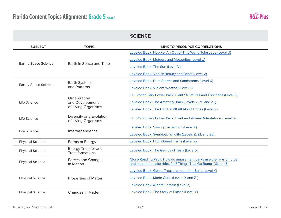

| <b>SUBJECT</b>          | <b>TOPIC</b>                                           | <b>LINK TO RESOURCE CORRELATIONS</b>                                |
|-------------------------|--------------------------------------------------------|---------------------------------------------------------------------|
| Earth / Space Science   | Earth in Space and Time                                | Leveled Book: Hubble: An Out-of-This-World Telescope (Level U)      |
|                         |                                                        | Leveled Book: Meteors and Meteorites (Level U)                      |
|                         |                                                        | Leveled Book: The Sun (Level V)                                     |
|                         |                                                        | Leveled Book: Venus: Beauty and Beast (Level V)                     |
| Earth / Space Science   | Earth Systems<br>and Patterns                          | Leveled Book: Dust Storms and Sandstorms (Level X)                  |
|                         |                                                        | Leveled Book: Violent Weather (Level Z)                             |
|                         | Organization<br>and Development<br>of Living Organisms | ELL Vocabulary Power Pack: Plant Structures and Functions (Level 5) |
| Life Science            |                                                        | Leveled Book: The Amazing Brain (Levels Y, Z1, and Z2)              |
|                         |                                                        | Leveled Book: The Hard Stuff! All About Bones (Level X)             |
| Life Science            | Diversity and Evolution<br>of Living Organisms         | ELL Vocabulary Power Pack: Plant and Animal Adaptations (Level 5)   |
|                         | Interdependence                                        | Leveled Book: Saving the Salmon (Level X)                           |
| Life Science            |                                                        | Leveled Book: Symbiotic Wildlife (Levels Z, Z1, and Z2)             |
| <b>Physical Science</b> | Forms of Energy                                        | Leveled Book: High-Speed Trains (Level X)                           |
| <b>Physical Science</b> | <b>Energy Transfer and</b><br>Transformations          | Leveled Book: The Genius of Tesla (Level X)                         |
| <b>Physical Science</b> | Forces and Changes<br>in Motion                        | Close Reading Pack: How do amusement parks use the laws of force    |
|                         |                                                        | and motion to make rides fun? Things That Go Bump (Grade 5)         |
| <b>Physical Science</b> | <b>Properties of Matter</b>                            | Leveled Book: Gems: Treasures from the Earth (Level Y)              |
|                         |                                                        | Leveled Book: Marie Curie (Levels Y and Z1)                         |
|                         |                                                        | Leveled Book: Albert Einstein (Level Z)                             |
| <b>Physical Science</b> | <b>Changes in Matter</b>                               | Leveled Book: The Story of Plastic (Level Y)                        |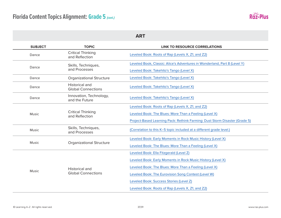

| <b>SUBJECT</b> | <b>TOPIC</b>                                       | LINK TO RESOURCE CORRELATIONS                                                                                                                                                                                                                                                                                           |
|----------------|----------------------------------------------------|-------------------------------------------------------------------------------------------------------------------------------------------------------------------------------------------------------------------------------------------------------------------------------------------------------------------------|
| Dance          | <b>Critical Thinking</b><br>and Reflection         | Leveled Book: Roots of Rap (Levels X, Z1, and Z2)                                                                                                                                                                                                                                                                       |
| Dance          | Skills, Techniques,<br>and Processes               | Leveled Book, Classic: Alice's Adventures in Wonderland, Part 8 (Level Y)<br>Leveled Book: Takehito's Tango (Level X)                                                                                                                                                                                                   |
| Dance          | <b>Organizational Structure</b>                    | Leveled Book: Takehito's Tango (Level X)                                                                                                                                                                                                                                                                                |
| Dance          | <b>Historical and</b><br><b>Global Connections</b> | Leveled Book: Takehito's Tango (Level X)                                                                                                                                                                                                                                                                                |
| Dance          | Innovation, Technology,<br>and the Future          | Leveled Book: Takehito's Tango (Level X)                                                                                                                                                                                                                                                                                |
| Music          | <b>Critical Thinking</b><br>and Reflection         | Leveled Book: Roots of Rap (Levels X, Z1, and Z2)<br>Leveled Book: The Blues: More Than a Feeling (Level X)<br>Project-Based Learning Pack: Rethink Farming: Dust Storm Disaster (Grade 5)                                                                                                                              |
| Music          | Skills, Techniques,<br>and Processes               | (Correlation to this K-5 topic included at a different grade level.)                                                                                                                                                                                                                                                    |
| Music          | <b>Organizational Structure</b>                    | Leveled Book: Early Moments in Rock Music History (Level X)<br>Leveled Book: The Blues: More Than a Feeling (Level X)                                                                                                                                                                                                   |
| Music          | <b>Historical and</b><br><b>Global Connections</b> | Leveled Book: Ella Fitzgerald (Level Z)<br>Leveled Book: Early Moments in Rock Music History (Level X)<br>Leveled Book: The Blues: More Than a Feeling (Level X)<br>Leveled Book: The Eurovision Song Contest (Level W)<br>Leveled Book: Success Stories (Level Z)<br>Leveled Book: Roots of Rap (Levels X, Z1, and Z2) |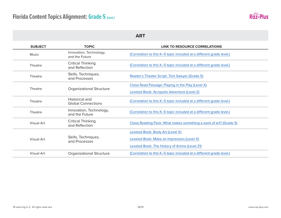

| <b>SUBJECT</b>    | <b>TOPIC</b>                                | <b>LINK TO RESOURCE CORRELATIONS</b>                                 |
|-------------------|---------------------------------------------|----------------------------------------------------------------------|
| <b>Music</b>      | Innovation, Technology,<br>and the Future   | (Correlation to this K-5 topic included at a different grade level.) |
| <b>Theatre</b>    | <b>Critical Thinking</b><br>and Reflection  | (Correlation to this K-5 topic included at a different grade level.) |
| Theatre           | Skills, Techniques,<br>and Processes        | Reader's Theater Script: Tom Sawyer (Grade 5)                        |
| Theatre           | <b>Organizational Structure</b>             | Close Read Passage: Playing in the Play (Level X)                    |
|                   |                                             | Leveled Book: Acropolis Adventure (Level Z)                          |
| Theatre           | Historical and<br><b>Global Connections</b> | (Correlation to this K-5 topic included at a different grade level.) |
| Theatre           | Innovation, Technology,<br>and the Future   | (Correlation to this K-5 topic included at a different grade level.) |
| Visual Art        | <b>Critical Thinking</b><br>and Reflection  | Close Reading Pack: What makes something a work of art? (Grade 5)    |
| Visual Art        | Skills, Techniques,<br>and Processes        | Leveled Book: Body Art (Level X)                                     |
|                   |                                             | Leveled Book: Make an Impression (Level X)                           |
|                   |                                             | Leveled Book: The History of Anime (Level Z1)                        |
| <b>Visual Art</b> | <b>Organizational Structure</b>             | (Correlation to this K-5 topic included at a different grade level.) |